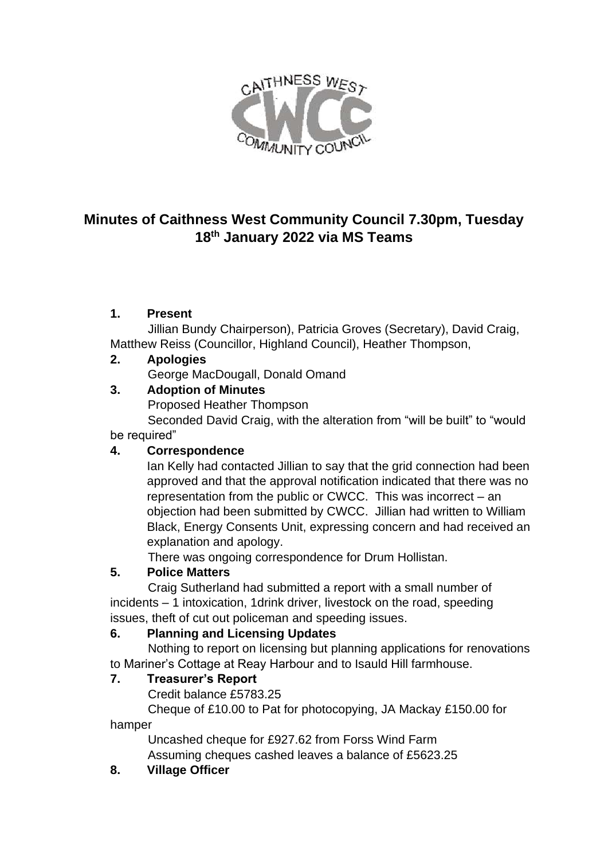

# **Minutes of Caithness West Community Council 7.30pm, Tuesday 18th January 2022 via MS Teams**

## **1. Present**

 Jillian Bundy Chairperson), Patricia Groves (Secretary), David Craig, Matthew Reiss (Councillor, Highland Council), Heather Thompson,

## **2. Apologies**

George MacDougall, Donald Omand

## **3. Adoption of Minutes**

Proposed Heather Thompson

 Seconded David Craig, with the alteration from "will be built" to "would be required"

### **4. Correspondence**

Ian Kelly had contacted Jillian to say that the grid connection had been approved and that the approval notification indicated that there was no representation from the public or CWCC. This was incorrect – an objection had been submitted by CWCC. Jillian had written to William Black, Energy Consents Unit, expressing concern and had received an explanation and apology.

There was ongoing correspondence for Drum Hollistan.

# **5. Police Matters**

Craig Sutherland had submitted a report with a small number of incidents – 1 intoxication, 1drink driver, livestock on the road, speeding issues, theft of cut out policeman and speeding issues.

# **6. Planning and Licensing Updates**

Nothing to report on licensing but planning applications for renovations to Mariner's Cottage at Reay Harbour and to Isauld Hill farmhouse.

### **7. Treasurer's Report**

Credit balance £5783.25

 Cheque of £10.00 to Pat for photocopying, JA Mackay £150.00 for hamper

 Uncashed cheque for £927.62 from Forss Wind Farm Assuming cheques cashed leaves a balance of £5623.25

### **8. Village Officer**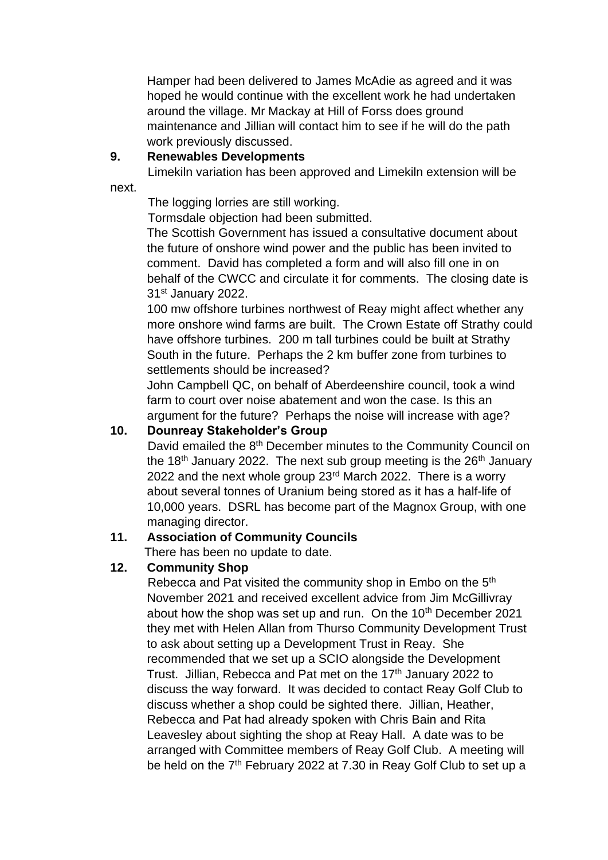Hamper had been delivered to James McAdie as agreed and it was hoped he would continue with the excellent work he had undertaken around the village. Mr Mackay at Hill of Forss does ground maintenance and Jillian will contact him to see if he will do the path work previously discussed.

#### **9. Renewables Developments**

Limekiln variation has been approved and Limekiln extension will be

next.

The logging lorries are still working.

Tormsdale objection had been submitted.

The Scottish Government has issued a consultative document about the future of onshore wind power and the public has been invited to comment. David has completed a form and will also fill one in on behalf of the CWCC and circulate it for comments. The closing date is 31st January 2022.

100 mw offshore turbines northwest of Reay might affect whether any more onshore wind farms are built. The Crown Estate off Strathy could have offshore turbines. 200 m tall turbines could be built at Strathy South in the future. Perhaps the 2 km buffer zone from turbines to settlements should be increased?

John Campbell QC, on behalf of Aberdeenshire council, took a wind farm to court over noise abatement and won the case. Is this an argument for the future? Perhaps the noise will increase with age?

#### **10. Dounreay Stakeholder's Group**

David emailed the 8<sup>th</sup> December minutes to the Community Council on the 18<sup>th</sup> January 2022. The next sub group meeting is the  $26<sup>th</sup>$  January 2022 and the next whole group 23rd March 2022. There is a worry about several tonnes of Uranium being stored as it has a half-life of 10,000 years. DSRL has become part of the Magnox Group, with one managing director.

#### **11. Association of Community Councils**

There has been no update to date.

#### **12. Community Shop**

Rebecca and Pat visited the community shop in Embo on the 5<sup>th</sup> November 2021 and received excellent advice from Jim McGillivray about how the shop was set up and run. On the  $10<sup>th</sup>$  December 2021 they met with Helen Allan from Thurso Community Development Trust to ask about setting up a Development Trust in Reay. She recommended that we set up a SCIO alongside the Development Trust. Jillian, Rebecca and Pat met on the 17<sup>th</sup> January 2022 to discuss the way forward. It was decided to contact Reay Golf Club to discuss whether a shop could be sighted there. Jillian, Heather, Rebecca and Pat had already spoken with Chris Bain and Rita Leavesley about sighting the shop at Reay Hall. A date was to be arranged with Committee members of Reay Golf Club. A meeting will be held on the 7<sup>th</sup> February 2022 at 7.30 in Reay Golf Club to set up a